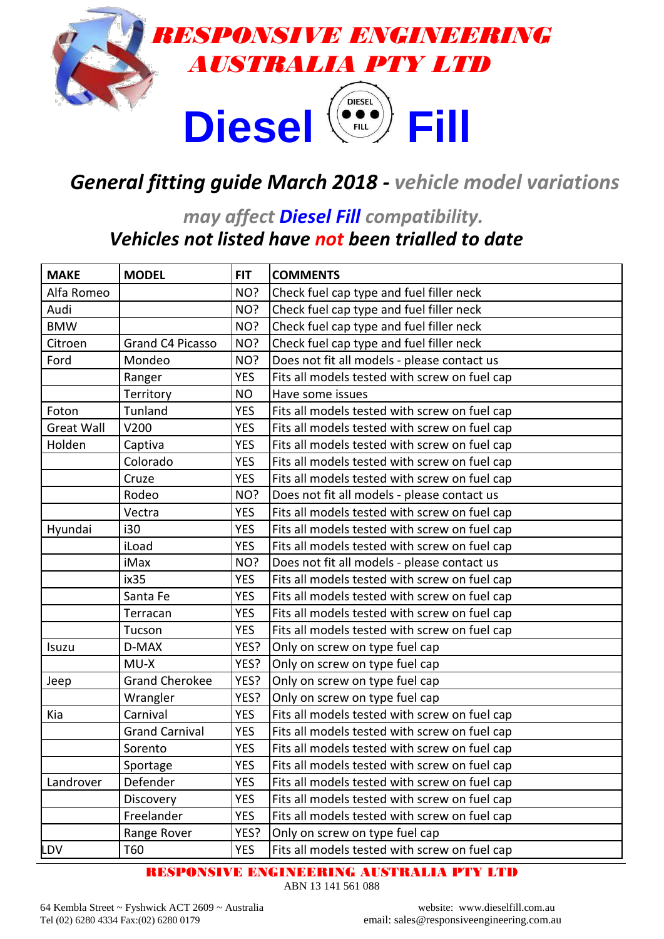

## *General fitting guide March 2018 - vehicle model variations*

#### *may affect Diesel Fill compatibility. Vehicles not listed have not been trialled to date*

| <b>MAKE</b>       | <b>MODEL</b>          | <b>FIT</b> | <b>COMMENTS</b>                               |
|-------------------|-----------------------|------------|-----------------------------------------------|
| Alfa Romeo        |                       | NO?        | Check fuel cap type and fuel filler neck      |
| Audi              |                       | NO?        | Check fuel cap type and fuel filler neck      |
| <b>BMW</b>        |                       | NO?        | Check fuel cap type and fuel filler neck      |
| Citroen           | Grand C4 Picasso      | NO?        | Check fuel cap type and fuel filler neck      |
| Ford              | Mondeo                | NO?        | Does not fit all models - please contact us   |
|                   | Ranger                | <b>YES</b> | Fits all models tested with screw on fuel cap |
|                   | Territory             | <b>NO</b>  | Have some issues                              |
| Foton             | Tunland               | <b>YES</b> | Fits all models tested with screw on fuel cap |
| <b>Great Wall</b> | V200                  | <b>YES</b> | Fits all models tested with screw on fuel cap |
| Holden            | Captiva               | <b>YES</b> | Fits all models tested with screw on fuel cap |
|                   | Colorado              | <b>YES</b> | Fits all models tested with screw on fuel cap |
|                   | Cruze                 | <b>YES</b> | Fits all models tested with screw on fuel cap |
|                   | Rodeo                 | NO?        | Does not fit all models - please contact us   |
|                   | Vectra                | <b>YES</b> | Fits all models tested with screw on fuel cap |
| Hyundai           | i30                   | <b>YES</b> | Fits all models tested with screw on fuel cap |
|                   | iLoad                 | <b>YES</b> | Fits all models tested with screw on fuel cap |
|                   | iMax                  | NO?        | Does not fit all models - please contact us   |
|                   | ix35                  | <b>YES</b> | Fits all models tested with screw on fuel cap |
|                   | Santa Fe              | <b>YES</b> | Fits all models tested with screw on fuel cap |
|                   | Terracan              | <b>YES</b> | Fits all models tested with screw on fuel cap |
|                   | Tucson                | <b>YES</b> | Fits all models tested with screw on fuel cap |
| Isuzu             | D-MAX                 | YES?       | Only on screw on type fuel cap                |
|                   | MU-X                  | YES?       | Only on screw on type fuel cap                |
| Jeep              | <b>Grand Cherokee</b> | YES?       | Only on screw on type fuel cap                |
|                   | Wrangler              | YES?       | Only on screw on type fuel cap                |
| Kia               | Carnival              | <b>YES</b> | Fits all models tested with screw on fuel cap |
|                   | <b>Grand Carnival</b> | <b>YES</b> | Fits all models tested with screw on fuel cap |
|                   | Sorento               | <b>YES</b> | Fits all models tested with screw on fuel cap |
|                   | Sportage              | <b>YES</b> | Fits all models tested with screw on fuel cap |
| Landrover         | Defender              | <b>YES</b> | Fits all models tested with screw on fuel cap |
|                   | Discovery             | <b>YES</b> | Fits all models tested with screw on fuel cap |
|                   | Freelander            | <b>YES</b> | Fits all models tested with screw on fuel cap |
|                   | Range Rover           | YES?       | Only on screw on type fuel cap                |
| LDV               | T60                   | <b>YES</b> | Fits all models tested with screw on fuel cap |

RESPONSIVE ENGINEERING AUSTRALIA PTY LTD

ABN 13 141 561 088